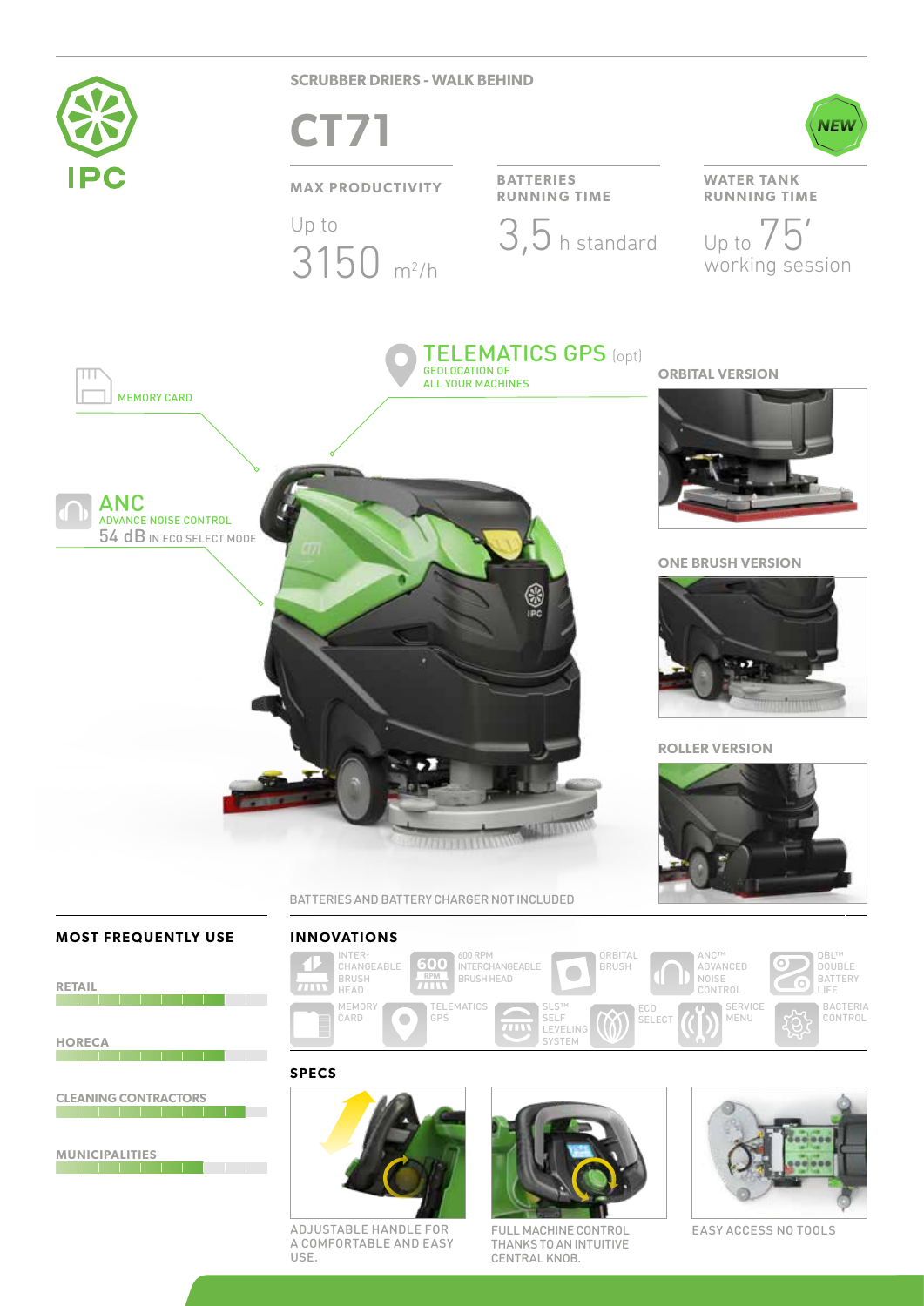

### **MOST FREQUENTLY USE**

**RETAIL**



**SPECS**





BACTERIA CONTROL

DBL™ DOUBLE

**CLEANING CONTRACTORS**

<u> Tanzania de la contra de la contra de la con</u>

**MUNICIPALITIES**

**The Committee of the Committee** 

**HORECA**



ADJUSTABLE HANDLE FOR A COMFORTABLE AND EASY USE.



FULL MACHINE CONTROL EASY ACCESS NO TOOLS THANKS TO AN INTUITIVE CENTRAL KNOB.

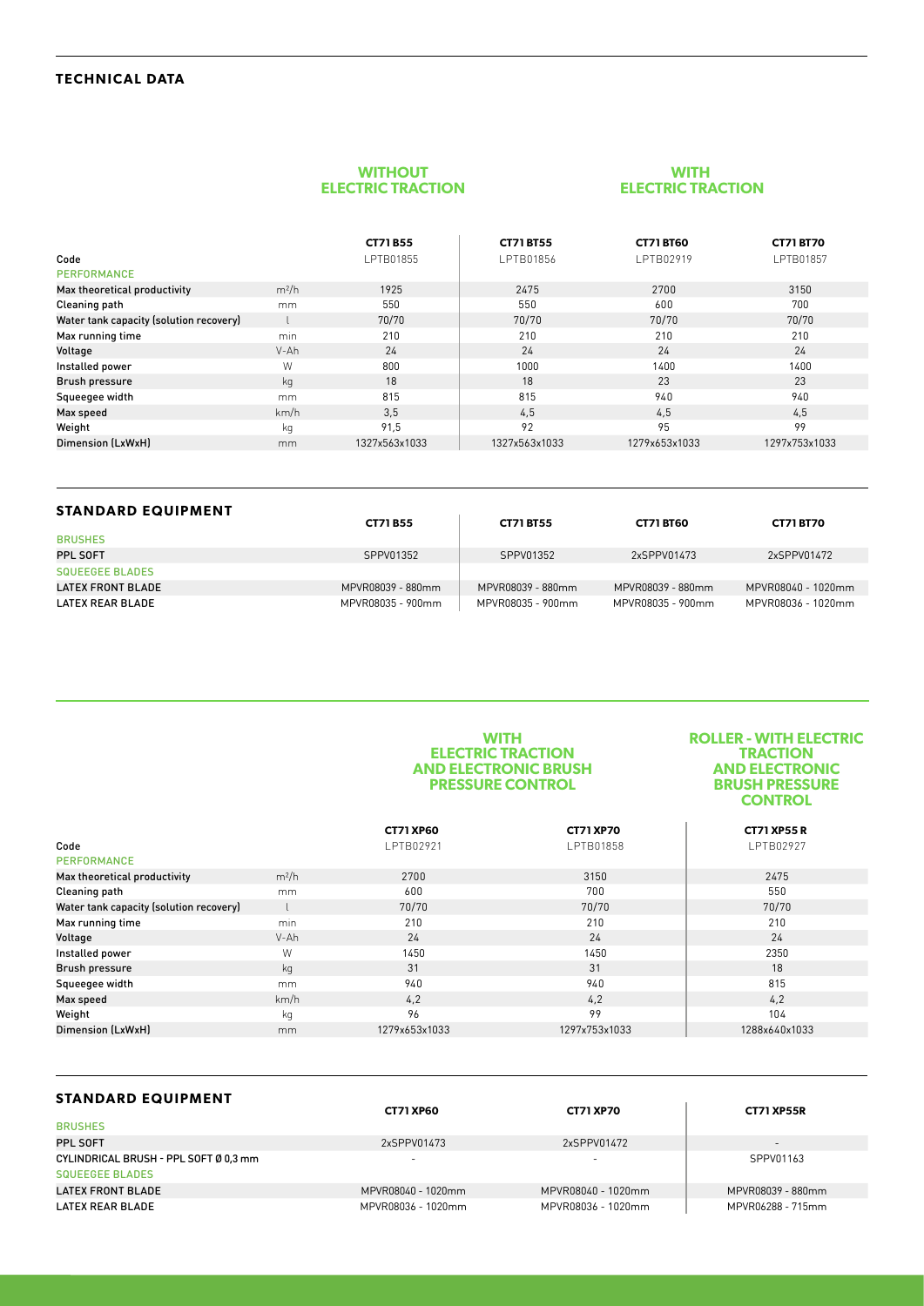## **TECHNICAL DATA**

#### **WITHOUT ELECTRIC TRACTION**

### **WITH ELECTRIC TRACTION**

|                                         |         | <b>CT71B55</b> | <b>CT71 BT55</b> | <b>CT71 BT60</b> | <b>CT71 BT70</b> |
|-----------------------------------------|---------|----------------|------------------|------------------|------------------|
| Code                                    |         | LPTB01855      | LPTB01856        | LPTB02919        | LPTB01857        |
| PERFORMANCE                             |         |                |                  |                  |                  |
| Max theoretical productivity            | $m^2/h$ | 1925           | 2475             | 2700             | 3150             |
| Cleaning path                           | mm      | 550            | 550              | 600              | 700              |
| Water tank capacity (solution recovery) |         | 70/70          | 70/70            | 70/70            | 70/70            |
| Max running time                        | min     | 210            | 210              | 210              | 210              |
| Voltage                                 | $V-Ah$  | 24             | 24               | 24               | 24               |
| Installed power                         | W       | 800            | 1000             | 1400             | 1400             |
| <b>Brush pressure</b>                   | kg      | 18             | 18               | 23               | 23               |
| Squeegee width                          | mm.     | 815            | 815              | 940              | 940              |
| Max speed                               | km/h    | 3,5            | 4,5              | 4,5              | 4,5              |
| Weight                                  | kg      | 91,5           | 92               | 95               | 99               |
| Dimension (LxWxH)                       | mm      | 1327x563x1033  | 1327x563x1033    | 1279x653x1033    | 1297x753x1033    |

| <b>STANDARD EQUIPMENT</b> |                   |                   |                   |                    |
|---------------------------|-------------------|-------------------|-------------------|--------------------|
|                           | <b>CT71 B55</b>   | <b>CT71 BT55</b>  | <b>CT71 BT60</b>  | <b>CT71 BT70</b>   |
| <b>BRUSHES</b>            |                   |                   |                   |                    |
| PPL SOFT                  | SPPV01352         | SPPV01352         | 2xSPPV01473       | 2xSPPV01472        |
| <b>SQUEEGEE BLADES</b>    |                   |                   |                   |                    |
| <b>LATEX FRONT BLADE</b>  | MPVR08039 - 880mm | MPVR08039 - 880mm | MPVR08039 - 880mm | MPVR08040 - 1020mm |
| <b>LATEX REAR BLADE</b>   | MPVR08035 - 900mm | MPVR08035 - 900mm | MPVR08035 - 900mm | MPVR08036 - 1020mm |

#### **WITH ELECTRIC TRACTION AND ELECTRONIC BRUSH PRESSURE CONTROL**

#### **ROLLER - WITH ELECTRIC TRACTION AND ELECTRONIC BRUSH PRESSURE CONTROL**

|                                         |         | <b>CT71 XP60</b> | <b>CT71 XP70</b> | <b>CT71 XP55 R</b> |
|-----------------------------------------|---------|------------------|------------------|--------------------|
| Code                                    |         | LPTB02921        | LPTB01858        | LPTB02927          |
| PERFORMANCE                             |         |                  |                  |                    |
| Max theoretical productivity            | $m^2/h$ | 2700             | 3150             | 2475               |
| Cleaning path                           | mm.     | 600              | 700              | 550                |
| Water tank capacity (solution recovery) |         | 70/70            | 70/70            | 70/70              |
| Max running time                        | min     | 210              | 210              | 210                |
| Voltage                                 | V-Ah    | 24               | 24               | 24                 |
| Installed power                         | W       | 1450             | 1450             | 2350               |
| <b>Brush pressure</b>                   | kg      | 31               | 31               | 18                 |
| Squeegee width                          | mm.     | 940              | 940              | 815                |
| Max speed                               | km/h    | 4,2              | 4,2              | 4,2                |
| Weight                                  | kg      | 96               | 99               | 104                |
| Dimension (LxWxH)                       | mm      | 1279x653x1033    | 1297x753x1033    | 1288x640x1033      |

| <b>STANDARD EQUIPMENT</b>             |                    |                    |                          |
|---------------------------------------|--------------------|--------------------|--------------------------|
|                                       | <b>CT71 XP60</b>   | <b>CT71 XP70</b>   | <b>CT71 XP55R</b>        |
| <b>BRUSHES</b>                        |                    |                    |                          |
| PPL SOFT                              | 2xSPPV01473        | 2xSPPV01472        | $\overline{\phantom{a}}$ |
| CYLINDRICAL BRUSH - PPL SOFT Ø 0.3 mm |                    |                    | SPPV01163                |
| <b>SQUEEGEE BLADES</b>                |                    |                    |                          |
| LATEX FRONT BLADE                     | MPVR08040 - 1020mm | MPVR08040 - 1020mm | MPVR08039 - 880mm        |
| LATEX REAR BLADE                      | MPVR08036 - 1020mm | MPVR08036 - 1020mm | MPVR06288 - 715mm        |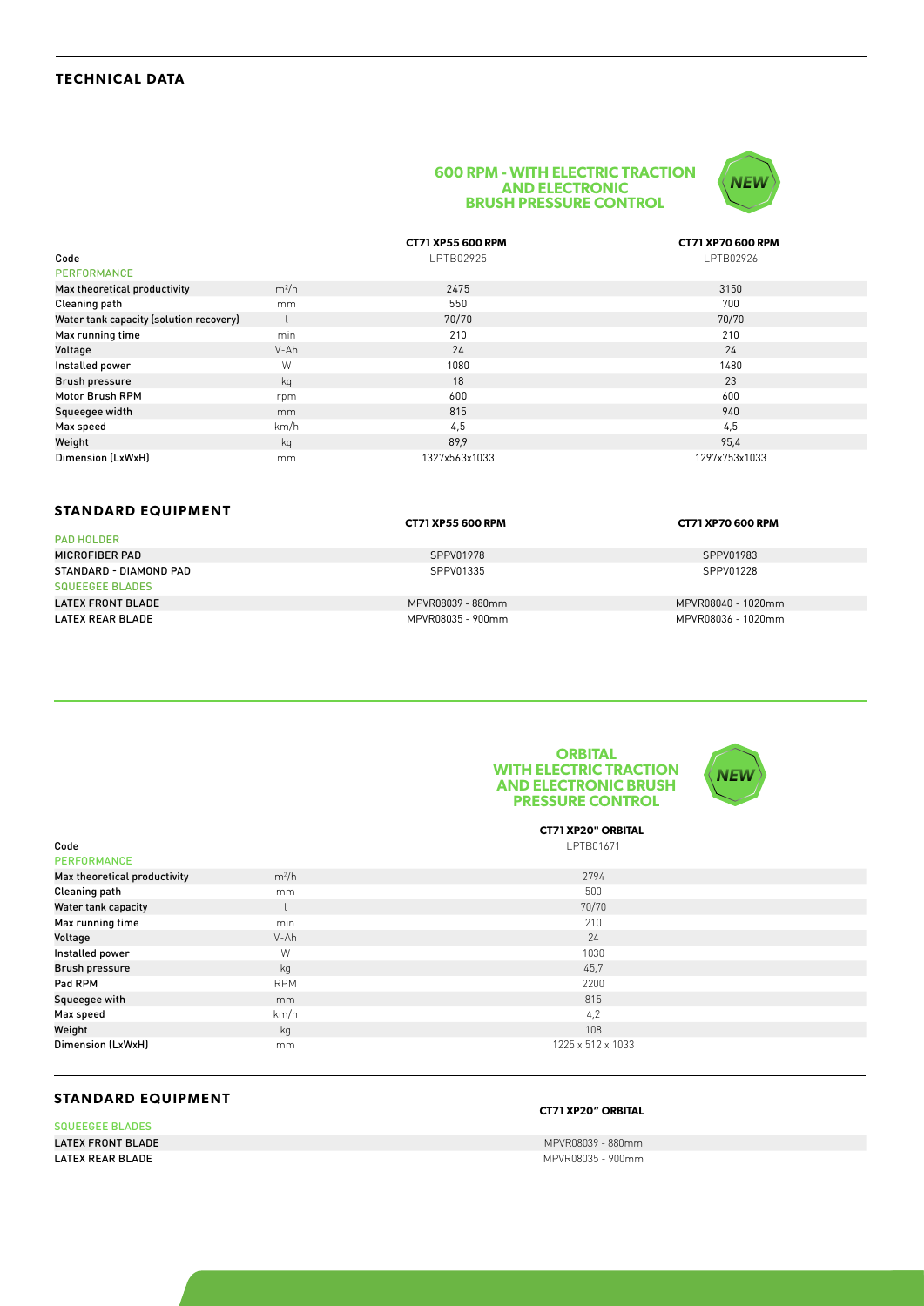#### **600 RPM - WITH ELECTRIC TRACTION AND ELECTRONIC BRUSH PRESSURE CONTROL**



|                                         |         | <b>CT71 XP55 600 RPM</b> | <b>CT71 XP70 600 RPM</b> |
|-----------------------------------------|---------|--------------------------|--------------------------|
| Code                                    |         | LPTB02925                | LPTB02926                |
| <b>PERFORMANCE</b>                      |         |                          |                          |
| Max theoretical productivity            | $m^2/h$ | 2475                     | 3150                     |
| Cleaning path                           | mm      | 550                      | 700                      |
| Water tank capacity (solution recovery) |         | 70/70                    | 70/70                    |
| Max running time                        | min     | 210                      | 210                      |
| Voltage                                 | V-Ah    | 24                       | 24                       |
| Installed power                         | W       | 1080                     | 1480                     |
| <b>Brush pressure</b>                   | kg      | 18                       | 23                       |
| Motor Brush RPM                         | rpm     | 600                      | 600                      |
| Squeegee width                          | mm      | 815                      | 940                      |
| Max speed                               | km/h    | 4,5                      | 4,5                      |
| Weight                                  | kg      | 89.9                     | 95,4                     |
| Dimension (LxWxH)                       | mm      | 1327x563x1033            | 1297x753x1033            |

### **STANDARD EQUIPMENT**

PAD HOLDER

SQUEEGEE BLADES<br>LATEX FRONT BLADE

| <b>CT71 XP55 600 RPM</b> |  |
|--------------------------|--|
|                          |  |

MICROFIBER PAD SPPV01983 SPPV01978 SPPV01978 SPPV01983

LATEX FRONT BLADE MPVR08039 - 880mm MPVR08040 - 1020mm

**CT71 XP55 600 RPM CT71 XP70 600 RPM**

STANDARD - DIAMOND PAD SPPV01228

MPVR08036 - 1020mm





**CT71 XP20" ORBITAL**  $\textsf{\small Code} \smallskip}$ 

| <b>PERFORMANCE</b>           |            |                   |
|------------------------------|------------|-------------------|
| Max theoretical productivity | $m^2/h$    | 2794              |
| <b>Cleaning path</b>         | mm         | 500               |
| Water tank capacity          |            | 70/70             |
| Max running time             | min        | 210               |
| Voltage                      | V-Ah       | 24                |
| Installed power              | W          | 1030              |
| <b>Brush pressure</b>        | kg         | 45,7              |
| Pad RPM                      | <b>RPM</b> | 2200              |
| Squeegee with                | mm         | 815               |
| Max speed                    | km/h       | 4,2               |
| Weight                       | kg         | 108               |
| Dimension (LxWxH)            | mm         | 1225 x 512 x 1033 |

# **STANDARD EQUIPMENT**

SQUEEGEE BLADES **LATEX FRONT BLADE** MANUSCRIPS AND CONTROL CONTROL CONTROL CONTROL CONTROL CONTROL CONTROL CONTROL CONTROL CONTROL CONTROL CONTROL CONTROL CONTROL CONTROL CONTROL CONTROL CONTROL CONTROL CONTROL CONTROL CONTROL CONTROL CON

# **CT71 XP20" ORBITAL**

**LATEX REAR BLADE LATER REAR BLADE MPVR08035 - 900mm**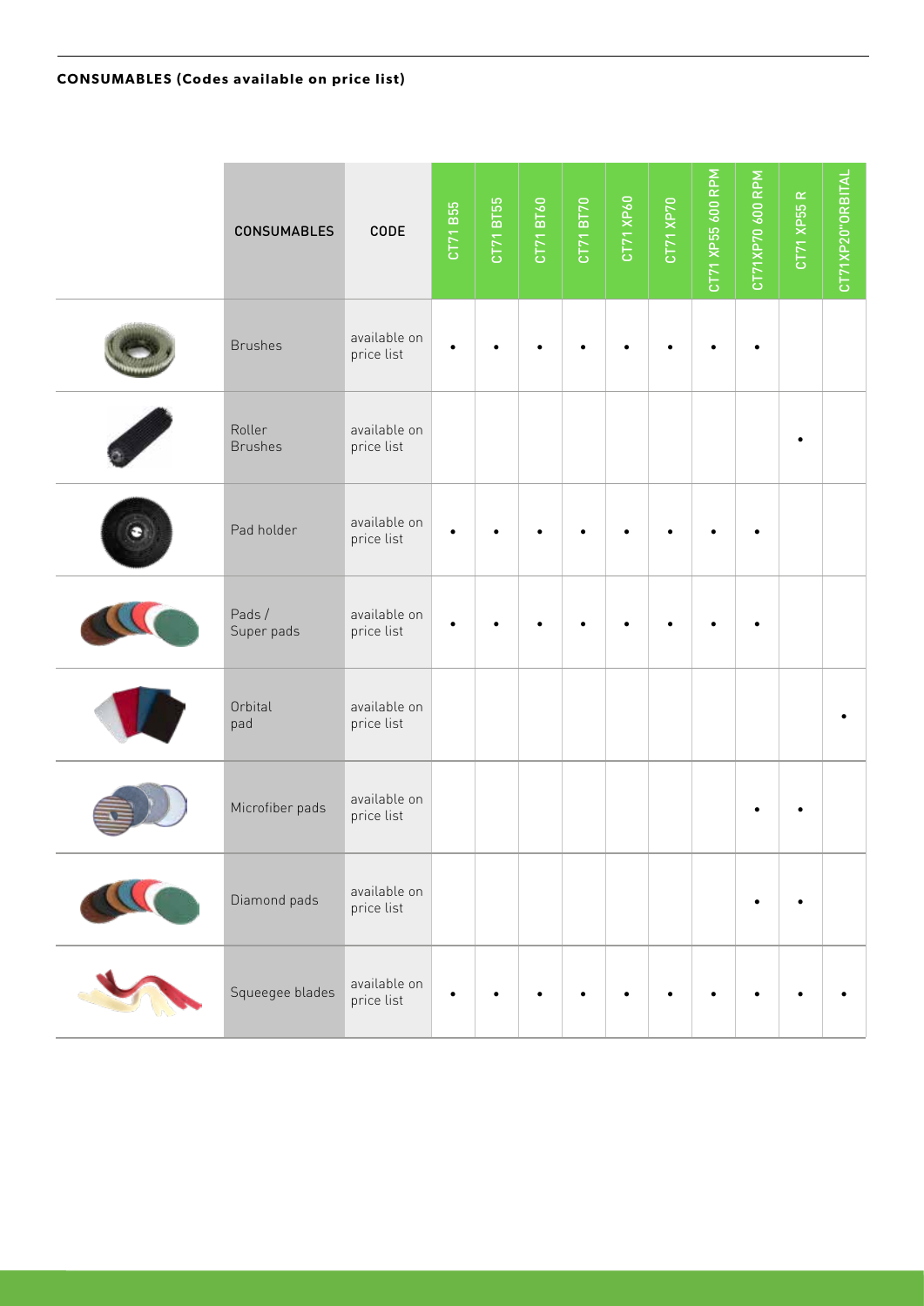| <b>CONSUMABLES</b>       | CODE                       | CT71 B55 | CT71 BT55 | CT71 BT60 | CT71 BT70 | CT71 XP60 | CT71 XP70 | CT71 XP55 600 RPM | CT71XP70 600 RPM | CT71 XP55 R | CT71XP20"ORBITAL |
|--------------------------|----------------------------|----------|-----------|-----------|-----------|-----------|-----------|-------------------|------------------|-------------|------------------|
| <b>Brushes</b>           | available on<br>price list |          |           |           |           |           |           |                   |                  |             |                  |
| Roller<br><b>Brushes</b> | available on<br>price list |          |           |           |           |           |           |                   |                  |             |                  |
| Pad holder               | available on<br>price list |          |           |           |           |           |           |                   |                  |             |                  |
| Pads/<br>Super pads      | available on<br>price list |          |           |           |           |           |           |                   |                  |             |                  |
| Orbital<br>pad           | available on<br>price list |          |           |           |           |           |           |                   |                  |             |                  |
| Microfiber pads          | available on<br>price list |          |           |           |           |           |           |                   |                  |             |                  |
| Diamond pads             | available on<br>price list |          |           |           |           |           |           |                   |                  | $\bullet$   |                  |
| Squeegee blades          | available on<br>price list | ٠        |           |           |           |           |           |                   |                  |             |                  |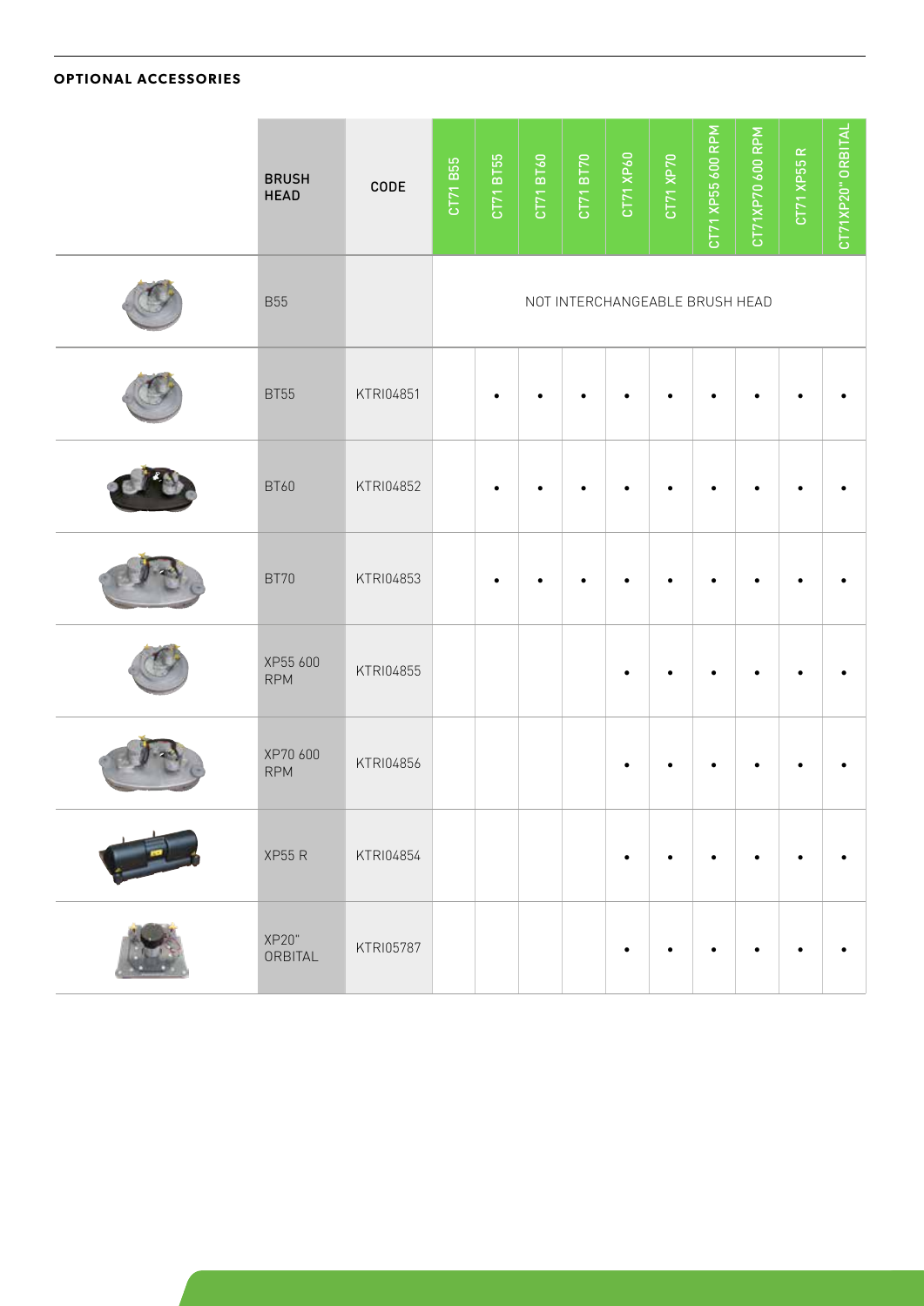# **OPTIONAL ACCESSORIES**

| <b>BRUSH</b><br><b>HEAD</b> | CODE      | CT71 B55 | CT71 BT55 | CT71 BT60 | CT71 BT70 | CT71 XP60 | CT71 XP70                      | CT71 XP55 600 RPM | CT71XP70 600 RPM | CT71 XP55 R | CT71XP20" ORBITAL |
|-----------------------------|-----------|----------|-----------|-----------|-----------|-----------|--------------------------------|-------------------|------------------|-------------|-------------------|
| <b>B55</b>                  |           |          |           |           |           |           | NOT INTERCHANGEABLE BRUSH HEAD |                   |                  |             |                   |
| <b>BT55</b>                 | KTRI04851 |          |           |           |           |           |                                |                   |                  |             |                   |
| <b>BT60</b>                 | KTRI04852 |          |           |           |           |           |                                |                   |                  |             |                   |
| <b>BT70</b>                 | KTRI04853 |          | ٠         |           |           |           |                                |                   |                  |             |                   |
| XP55 600<br><b>RPM</b>      | KTRI04855 |          |           |           |           |           |                                |                   |                  |             |                   |
| XP70 600<br><b>RPM</b>      | KTRI04856 |          |           |           |           |           |                                |                   |                  |             |                   |
| <b>XP55 R</b>               | KTRI04854 |          |           |           |           | $\bullet$ |                                |                   |                  |             |                   |
| XP20"<br>ORBITAL            | KTRI05787 |          |           |           |           |           |                                |                   |                  |             |                   |